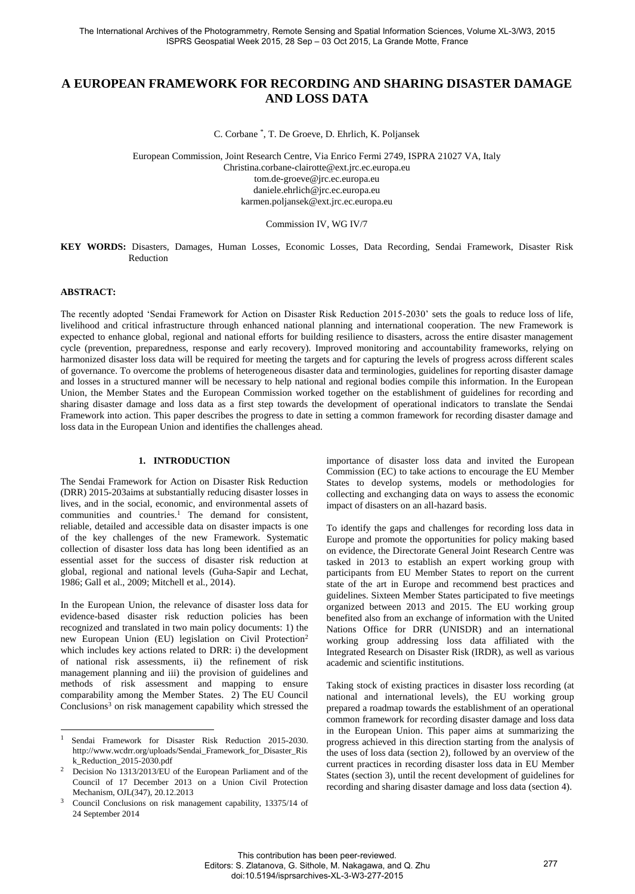# **A EUROPEAN FRAMEWORK FOR RECORDING AND SHARING DISASTER DAMAGE AND LOSS DATA**

C. Corbane \* , T. De Groeve, D. Ehrlich, K. Poljansek

European Commission, Joint Research Centre, Via Enrico Fermi 2749, ISPRA 21027 VA, Italy [Christina.corbane-clairotte@ext.jrc.ec.europa.eu](mailto:Christina.corbane-clairotte@ext.jrc.ec.europa.eu) tom.de-groeve@jrc.ec.europa.eu daniele.ehrlich@jrc.ec.europa.eu karmen.poljansek@ext.jrc.ec.europa.eu

#### Commission IV, WG IV/7

**KEY WORDS:** Disasters, Damages, Human Losses, Economic Losses, Data Recording, Sendai Framework, Disaster Risk Reduction

#### **ABSTRACT:**

 $\overline{a}$ 

The recently adopted 'Sendai Framework for Action on Disaster Risk Reduction 2015-2030' sets the goals to reduce loss of life, livelihood and critical infrastructure through enhanced national planning and international cooperation. The new Framework is expected to enhance global, regional and national efforts for building resilience to disasters, across the entire disaster management cycle (prevention, preparedness, response and early recovery). Improved monitoring and accountability frameworks, relying on harmonized disaster loss data will be required for meeting the targets and for capturing the levels of progress across different scales of governance. To overcome the problems of heterogeneous disaster data and terminologies, guidelines for reporting disaster damage and losses in a structured manner will be necessary to help national and regional bodies compile this information. In the European Union, the Member States and the European Commission worked together on the establishment of guidelines for recording and sharing disaster damage and loss data as a first step towards the development of operational indicators to translate the Sendai Framework into action. This paper describes the progress to date in setting a common framework for recording disaster damage and loss data in the European Union and identifies the challenges ahead.

# **1. INTRODUCTION**

The Sendai Framework for Action on Disaster Risk Reduction (DRR) 2015-203aims at substantially reducing disaster losses in lives, and in the social, economic, and environmental assets of communities and countries.<sup>1</sup> The demand for consistent, reliable, detailed and accessible data on disaster impacts is one of the key challenges of the new Framework. Systematic collection of disaster loss data has long been identified as an essential asset for the success of disaster risk reduction at global, regional and national levels (Guha-Sapir and Lechat, 1986; Gall et al., 2009; Mitchell et al., 2014).

In the European Union, the relevance of disaster loss data for evidence-based disaster risk reduction policies has been recognized and translated in two main policy documents: 1) the new European Union (EU) legislation on Civil Protection<sup>2</sup> which includes key actions related to DRR: i) the development of national risk assessments, ii) the refinement of risk management planning and iii) the provision of guidelines and methods of risk assessment and mapping to ensure comparability among the Member States. 2) The EU Council Conclusions<sup>3</sup> on risk management capability which stressed the importance of disaster loss data and invited the European Commission (EC) to take actions to encourage the EU Member States to develop systems, models or methodologies for collecting and exchanging data on ways to assess the economic impact of disasters on an all-hazard basis.

To identify the gaps and challenges for recording loss data in Europe and promote the opportunities for policy making based on evidence, the Directorate General Joint Research Centre was tasked in 2013 to establish an expert working group with participants from EU Member States to report on the current state of the art in Europe and recommend best practices and guidelines. Sixteen Member States participated to five meetings organized between 2013 and 2015. The EU working group benefited also from an exchange of information with the United Nations Office for DRR (UNISDR) and an international working group addressing loss data affiliated with the Integrated Research on Disaster Risk (IRDR), as well as various academic and scientific institutions.

Taking stock of existing practices in disaster loss recording (at national and international levels), the EU working group prepared a roadmap towards the establishment of an operational common framework for recording disaster damage and loss data in the European Union. This paper aims at summarizing the progress achieved in this direction starting from the analysis of the uses of loss data (section 2), followed by an overview of the current practices in recording disaster loss data in EU Member States (section 3), until the recent development of guidelines for recording and sharing disaster damage and loss data (section 4).

<sup>1</sup> Sendai Framework for Disaster Risk Reduction 2015-2030. http://www.wcdrr.org/uploads/Sendai\_Framework\_for\_Disaster\_Ris  $k$ \_Reduction\_2015-2030.pdf

<sup>2</sup> Decision No 1313/2013/EU of the European Parliament and of the Council of 17 December 2013 on a Union Civil Protection Mechanism, OJL(347), 20.12.2013

<sup>3</sup> Council Conclusions on risk management capability, 13375/14 of 24 September 2014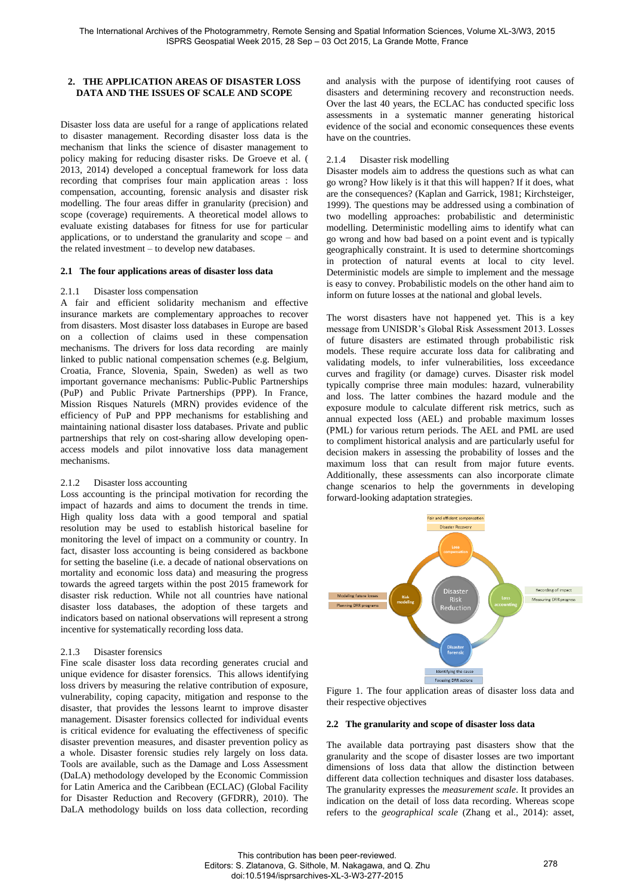## **2. THE APPLICATION AREAS OF DISASTER LOSS DATA AND THE ISSUES OF SCALE AND SCOPE**

Disaster loss data are useful for a range of applications related to disaster management. Recording disaster loss data is the mechanism that links the science of disaster management to policy making for reducing disaster risks. De Groeve et al. ( 2013, 2014) developed a conceptual framework for loss data recording that comprises four main application areas : loss compensation, accounting, forensic analysis and disaster risk modelling. The four areas differ in granularity (precision) and scope (coverage) requirements. A theoretical model allows to evaluate existing databases for fitness for use for particular applications, or to understand the granularity and scope – and the related investment – to develop new databases.

#### **2.1 The four applications areas of disaster loss data**

#### 2.1.1 Disaster loss compensation

A fair and efficient solidarity mechanism and effective insurance markets are complementary approaches to recover from disasters. Most disaster loss databases in Europe are based on a collection of claims used in these compensation mechanisms. The drivers for loss data recording are mainly linked to public national compensation schemes (e.g. Belgium, Croatia, France, Slovenia, Spain, Sweden) as well as two important governance mechanisms: Public-Public Partnerships (PuP) and Public Private Partnerships (PPP). In France, Mission Risques Naturels (MRN) provides evidence of the efficiency of PuP and PPP mechanisms for establishing and maintaining national disaster loss databases. Private and public partnerships that rely on cost-sharing allow developing openaccess models and pilot innovative loss data management mechanisms.

## 2.1.2 Disaster loss accounting

Loss accounting is the principal motivation for recording the impact of hazards and aims to document the trends in time. High quality loss data with a good temporal and spatial resolution may be used to establish historical baseline for monitoring the level of impact on a community or country. In fact, disaster loss accounting is being considered as backbone for setting the baseline (i.e. a decade of national observations on mortality and economic loss data) and measuring the progress towards the agreed targets within the post 2015 framework for disaster risk reduction. While not all countries have national disaster loss databases, the adoption of these targets and indicators based on national observations will represent a strong incentive for systematically recording loss data.

## 2.1.3 Disaster forensics

Fine scale disaster loss data recording generates crucial and unique evidence for disaster forensics. This allows identifying loss drivers by measuring the relative contribution of exposure, vulnerability, coping capacity, mitigation and response to the disaster, that provides the lessons learnt to improve disaster management. Disaster forensics collected for individual events is critical evidence for evaluating the effectiveness of specific disaster prevention measures, and disaster prevention policy as a whole. Disaster forensic studies rely largely on loss data. Tools are available, such as the Damage and Loss Assessment (DaLA) methodology developed by the Economic Commission for Latin America and the Caribbean (ECLAC) (Global Facility for Disaster Reduction and Recovery (GFDRR), 2010). The DaLA methodology builds on loss data collection, recording

and analysis with the purpose of identifying root causes of disasters and determining recovery and reconstruction needs. Over the last 40 years, the ECLAC has conducted specific loss assessments in a systematic manner generating historical evidence of the social and economic consequences these events have on the countries.

#### 2.1.4 Disaster risk modelling

Disaster models aim to address the questions such as what can go wrong? How likely is it that this will happen? If it does, what are the consequences? (Kaplan and Garrick, 1981; Kirchsteiger, 1999). The questions may be addressed using a combination of two modelling approaches: probabilistic and deterministic modelling. Deterministic modelling aims to identify what can go wrong and how bad based on a point event and is typically geographically constraint. It is used to determine shortcomings in protection of natural events at local to city level. Deterministic models are simple to implement and the message is easy to convey. Probabilistic models on the other hand aim to inform on future losses at the national and global levels.

The worst disasters have not happened yet. This is a key message from UNISDR's Global Risk Assessment 2013. Losses of future disasters are estimated through probabilistic risk models. These require accurate loss data for calibrating and validating models, to infer vulnerabilities, loss exceedance curves and fragility (or damage) curves. Disaster risk model typically comprise three main modules: hazard, vulnerability and loss. The latter combines the hazard module and the exposure module to calculate different risk metrics, such as annual expected loss (AEL) and probable maximum losses (PML) for various return periods. The AEL and PML are used to compliment historical analysis and are particularly useful for decision makers in assessing the probability of losses and the maximum loss that can result from major future events. Additionally, these assessments can also incorporate climate change scenarios to help the governments in developing forward-looking adaptation strategies.



Figure 1. The four application areas of disaster loss data and their respective objectives

#### **2.2 The granularity and scope of disaster loss data**

The available data portraying past disasters show that the granularity and the scope of disaster losses are two important dimensions of loss data that allow the distinction between different data collection techniques and disaster loss databases. The granularity expresses the *measurement scale*. It provides an indication on the detail of loss data recording. Whereas scope refers to the *geographical scale* (Zhang et al., 2014): asset,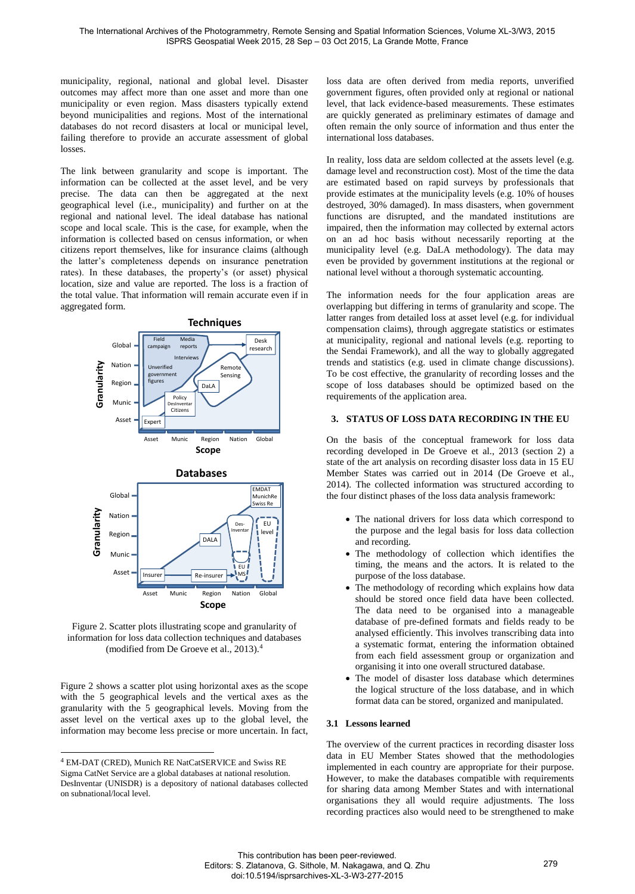municipality, regional, national and global level. Disaster outcomes may affect more than one asset and more than one municipality or even region. Mass disasters typically extend beyond municipalities and regions. Most of the international databases do not record disasters at local or municipal level, failing therefore to provide an accurate assessment of global losses.

The link between granularity and scope is important. The information can be collected at the asset level, and be very precise. The data can then be aggregated at the next geographical level (i.e., municipality) and further on at the regional and national level. The ideal database has national scope and local scale. This is the case, for example, when the information is collected based on census information, or when citizens report themselves, like for insurance claims (although the latter's completeness depends on insurance penetration rates). In these databases, the property's (or asset) physical location, size and value are reported. The loss is a fraction of the total value. That information will remain accurate even if in aggregated form.



<span id="page-2-0"></span>Figure 2. Scatter plots illustrating scope and granularity of information for loss data collection techniques and databases (modified from De Groeve et al., 2013).<sup>4</sup>

[Figure 2](#page-2-0) shows a scatter plot using horizontal axes as the scope with the 5 geographical levels and the vertical axes as the granularity with the 5 geographical levels. Moving from the asset level on the vertical axes up to the global level, the information may become less precise or more uncertain. In fact,

 $\overline{a}$ 

loss data are often derived from media reports, unverified government figures, often provided only at regional or national level, that lack evidence-based measurements. These estimates are quickly generated as preliminary estimates of damage and often remain the only source of information and thus enter the international loss databases.

In reality, loss data are seldom collected at the assets level (e.g. damage level and reconstruction cost). Most of the time the data are estimated based on rapid surveys by professionals that provide estimates at the municipality levels (e.g. 10% of houses destroyed, 30% damaged). In mass disasters, when government functions are disrupted, and the mandated institutions are impaired, then the information may collected by external actors on an ad hoc basis without necessarily reporting at the municipality level (e.g. DaLA methodology). The data may even be provided by government institutions at the regional or national level without a thorough systematic accounting.

The information needs for the four application areas are overlapping but differing in terms of granularity and scope. The latter ranges from detailed loss at asset level (e.g. for individual compensation claims), through aggregate statistics or estimates at municipality, regional and national levels (e.g. reporting to the Sendai Framework), and all the way to globally aggregated trends and statistics (e.g. used in climate change discussions). To be cost effective, the granularity of recording losses and the scope of loss databases should be optimized based on the requirements of the application area.

#### **3. STATUS OF LOSS DATA RECORDING IN THE EU**

On the basis of the conceptual framework for loss data recording developed in De Groeve et al., 2013 (section 2) a state of the art analysis on recording disaster loss data in 15 EU Member States was carried out in 2014 (De Groeve et al., 2014). The collected information was structured according to the four distinct phases of the loss data analysis framework:

- The national drivers for loss data which correspond to the purpose and the legal basis for loss data collection and recording.
- The methodology of collection which identifies the timing, the means and the actors. It is related to the purpose of the loss database.
- The methodology of recording which explains how data should be stored once field data have been collected. The data need to be organised into a manageable database of pre-defined formats and fields ready to be analysed efficiently. This involves transcribing data into a systematic format, entering the information obtained from each field assessment group or organization and organising it into one overall structured database.
- The model of disaster loss database which determines the logical structure of the loss database, and in which format data can be stored, organized and manipulated.

## **3.1 Lessons learned**

The overview of the current practices in recording disaster loss data in EU Member States showed that the methodologies implemented in each country are appropriate for their purpose. However, to make the databases compatible with requirements for sharing data among Member States and with international organisations they all would require adjustments. The loss recording practices also would need to be strengthened to make

<sup>4</sup> EM-DAT (CRED), Munich RE NatCatSERVICE and Swiss RE Sigma CatNet Service are a global databases at national resolution. DesInventar (UNISDR) is a depository of national databases collected on subnational/local level.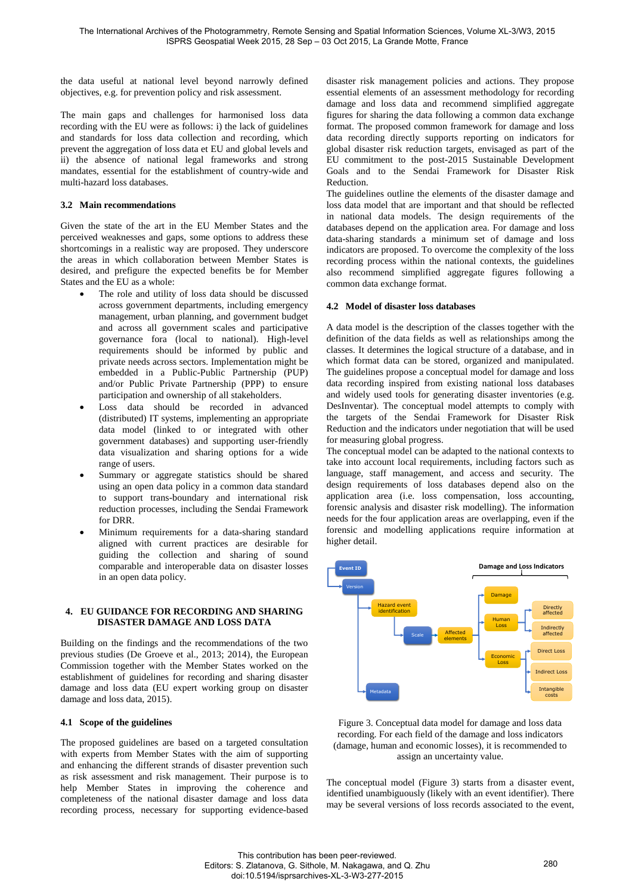the data useful at national level beyond narrowly defined objectives, e.g. for prevention policy and risk assessment.

The main gaps and challenges for harmonised loss data recording with the EU were as follows: i) the lack of guidelines and standards for loss data collection and recording, which prevent the aggregation of loss data et EU and global levels and ii) the absence of national legal frameworks and strong mandates, essential for the establishment of country-wide and multi-hazard loss databases.

#### **3.2 Main recommendations**

Given the state of the art in the EU Member States and the perceived weaknesses and gaps, some options to address these shortcomings in a realistic way are proposed. They underscore the areas in which collaboration between Member States is desired, and prefigure the expected benefits be for Member States and the EU as a whole:

- The role and utility of loss data should be discussed across government departments, including emergency management, urban planning, and government budget and across all government scales and participative governance fora (local to national). High-level requirements should be informed by public and private needs across sectors. Implementation might be embedded in a Public-Public Partnership (PUP) and/or Public Private Partnership (PPP) to ensure participation and ownership of all stakeholders.
- Loss data should be recorded in advanced (distributed) IT systems, implementing an appropriate data model (linked to or integrated with other government databases) and supporting user-friendly data visualization and sharing options for a wide range of users.
- Summary or aggregate statistics should be shared using an open data policy in a common data standard to support trans-boundary and international risk reduction processes, including the Sendai Framework for DRR.
- Minimum requirements for a data-sharing standard aligned with current practices are desirable for guiding the collection and sharing of sound comparable and interoperable data on disaster losses in an open data policy.

#### **4. EU GUIDANCE FOR RECORDING AND SHARING DISASTER DAMAGE AND LOSS DATA**

Building on the findings and the recommendations of the two previous studies (De Groeve et al., 2013; 2014), the European Commission together with the Member States worked on the establishment of guidelines for recording and sharing disaster damage and loss data (EU expert working group on disaster damage and loss data, 2015).

#### **4.1 Scope of the guidelines**

The proposed guidelines are based on a targeted consultation with experts from Member States with the aim of supporting and enhancing the different strands of disaster prevention such as risk assessment and risk management. Their purpose is to help Member States in improving the coherence and completeness of the national disaster damage and loss data recording process, necessary for supporting evidence-based

disaster risk management policies and actions. They propose essential elements of an assessment methodology for recording damage and loss data and recommend simplified aggregate figures for sharing the data following a common data exchange format. The proposed common framework for damage and loss data recording directly supports reporting on indicators for global disaster risk reduction targets, envisaged as part of the EU commitment to the post-2015 Sustainable Development Goals and to the Sendai Framework for Disaster Risk Reduction.

The guidelines outline the elements of the disaster damage and loss data model that are important and that should be reflected in national data models. The design requirements of the databases depend on the application area. For damage and loss data-sharing standards a minimum set of damage and loss indicators are proposed. To overcome the complexity of the loss recording process within the national contexts, the guidelines also recommend simplified aggregate figures following a common data exchange format.

#### **4.2 Model of disaster loss databases**

A data model is the description of the classes together with the definition of the data fields as well as relationships among the classes. It determines the logical structure of a database, and in which format data can be stored, organized and manipulated. The guidelines propose a conceptual model for damage and loss data recording inspired from existing national loss databases and widely used tools for generating disaster inventories (e.g. DesInventar). The conceptual model attempts to comply with the targets of the Sendai Framework for Disaster Risk Reduction and the indicators under negotiation that will be used for measuring global progress.

The conceptual model can be adapted to the national contexts to take into account local requirements, including factors such as language, staff management, and access and security. The design requirements of loss databases depend also on the application area (i.e. loss compensation, loss accounting, forensic analysis and disaster risk modelling). The information needs for the four application areas are overlapping, even if the forensic and modelling applications require information at higher detail.



<span id="page-3-0"></span>Figure 3. Conceptual data model for damage and loss data recording. For each field of the damage and loss indicators (damage, human and economic losses), it is recommended to assign an uncertainty value.

The conceptual model [\(Figure 3\)](#page-3-0) starts from a disaster event, identified unambiguously (likely with an event identifier). There may be several versions of loss records associated to the event,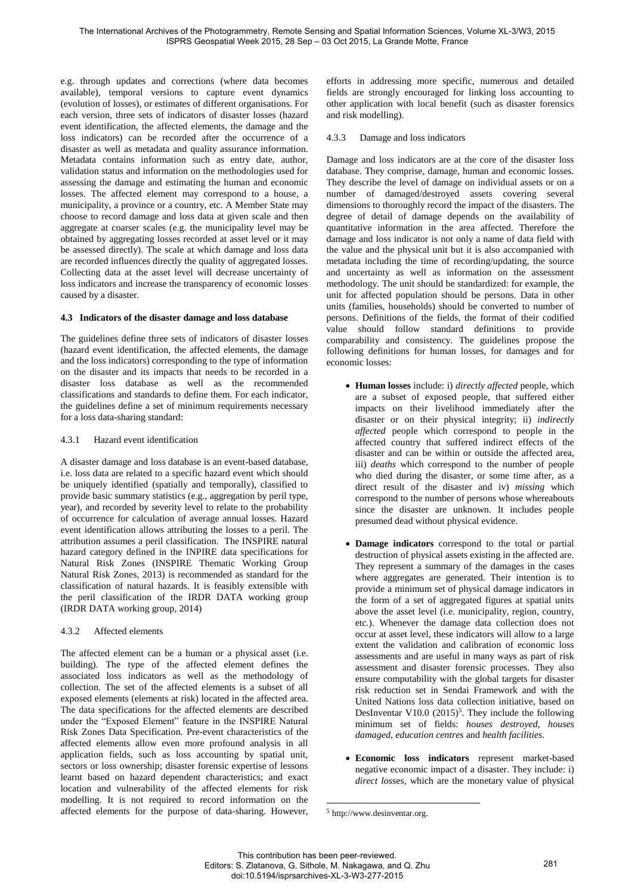e.g. through updates and corrections (where data becomes available), temporal versions to capture event dynamics (evolution of losses), or estimates of different organisations. For each version, three sets of indicators of disaster losses (hazard event identification, the affected elements, the damage and the loss indicators) can be recorded after the occurrence of a disaster as well as metadata and quality assurance information. Metadata contains information such as entry date, author, validation status and information on the methodologies used for assessing the damage and estimating the human and economic losses. The affected element may correspond to a house, a municipality, a province or a country, etc. A Member State may choose to record damage and loss data at given scale and then aggregate at coarser scales (e.g. the municipality level may be obtained by aggregating losses recorded at asset level or it may be assessed directly). The scale at which damage and loss data are recorded influences directly the quality of aggregated losses. Collecting data at the asset level will decrease uncertainty of loss indicators and increase the transparency of economic losses caused by a disaster.

## **4.3 Indicators of the disaster damage and loss database**

The guidelines define three sets of indicators of disaster losses (hazard event identification, the affected elements, the damage and the loss indicators) corresponding to the type of information on the disaster and its impacts that needs to be recorded in a disaster loss database as well as the recommended classifications and standards to define them. For each indicator, the guidelines define a set of minimum requirements necessary for a loss data-sharing standard:

# 4.3.1 Hazard event identification

A disaster damage and loss database is an event-based database, i.e. loss data are related to a specific hazard event which should be uniquely identified (spatially and temporally), classified to provide basic summary statistics (e.g., aggregation by peril type, year), and recorded by severity level to relate to the probability of occurrence for calculation of average annual losses. Hazard event identification allows attributing the losses to a peril. The attribution assumes a peril classification. The INSPIRE natural hazard category defined in the INPIRE data specifications for Natural Risk Zones (INSPIRE Thematic Working Group Natural Risk Zones, 2013) is recommended as standard for the classification of natural hazards. It is feasibly extensible with the peril classification of the IRDR DATA working group (IRDR DATA working group, 2014)

# 4.3.2 Affected elements

The affected element can be a human or a physical asset (i.e. building). The type of the affected element defines the associated loss indicators as well as the methodology of collection. The set of the affected elements is a subset of all exposed elements (elements at risk) located in the affected area. The data specifications for the affected elements are described under the "Exposed Element" feature in the INSPIRE Natural Risk Zones Data Specification. Pre-event characteristics of the affected elements allow even more profound analysis in all application fields, such as loss accounting by spatial unit, sectors or loss ownership; disaster forensic expertise of lessons learnt based on hazard dependent characteristics; and exact location and vulnerability of the affected elements for risk modelling. It is not required to record information on the affected elements for the purpose of data-sharing. However,

efforts in addressing more specific, numerous and detailed fields are strongly encouraged for linking loss accounting to other application with local benefit (such as disaster forensics and risk modelling).

# 4.3.3 Damage and loss indicators

Damage and loss indicators are at the core of the disaster loss database. They comprise, damage, human and economic losses. They describe the level of damage on individual assets or on a number of damaged/destroyed assets covering several dimensions to thoroughly record the impact of the disasters. The degree of detail of damage depends on the availability of quantitative information in the area affected. Therefore the damage and loss indicator is not only a name of data field with the value and the physical unit but it is also accompanied with metadata including the time of recording/updating, the source and uncertainty as well as information on the assessment methodology. The unit should be standardized: for example, the unit for affected population should be persons. Data in other units (families, households) should be converted to number of persons. Definitions of the fields, the format of their codified value should follow standard definitions to provide comparability and consistency. The guidelines propose the following definitions for human losses, for damages and for economic losses:

- **Human losses** include: i) *directly affected* people, which are a subset of exposed people, that suffered either impacts on their livelihood immediately after the disaster or on their physical integrity; ii) *indirectly affected* people which correspond to people in the affected country that suffered indirect effects of the disaster and can be within or outside the affected area, iii) *deaths* which correspond to the number of people who died during the disaster, or some time after, as a direct result of the disaster and iv) *missing* which correspond to the number of persons whose whereabouts since the disaster are unknown. It includes people presumed dead without physical evidence.
- **Damage indicators** correspond to the total or partial destruction of physical assets existing in the affected are. They represent a summary of the damages in the cases where aggregates are generated. Their intention is to provide a minimum set of physical damage indicators in the form of a set of aggregated figures at spatial units above the asset level (i.e. municipality, region, country, etc.). Whenever the damage data collection does not occur at asset level, these indicators will allow to a large extent the validation and calibration of economic loss assessments and are useful in many ways as part of risk assessment and disaster forensic processes. They also ensure computability with the global targets for disaster risk reduction set in Sendai Framework and with the United Nations loss data collection initiative, based on DesInventar V10.0  $(2015)^5$ . They include the following minimum set of fields: *houses destroyed*, *houses damaged*, *education centres* and *health facilities*.
- **Economic loss indicators** represent market-based negative economic impact of a disaster. They include: i) *direct los*ses, which are the monetary value of physical

1

<sup>5</sup> http://www.desinventar.org.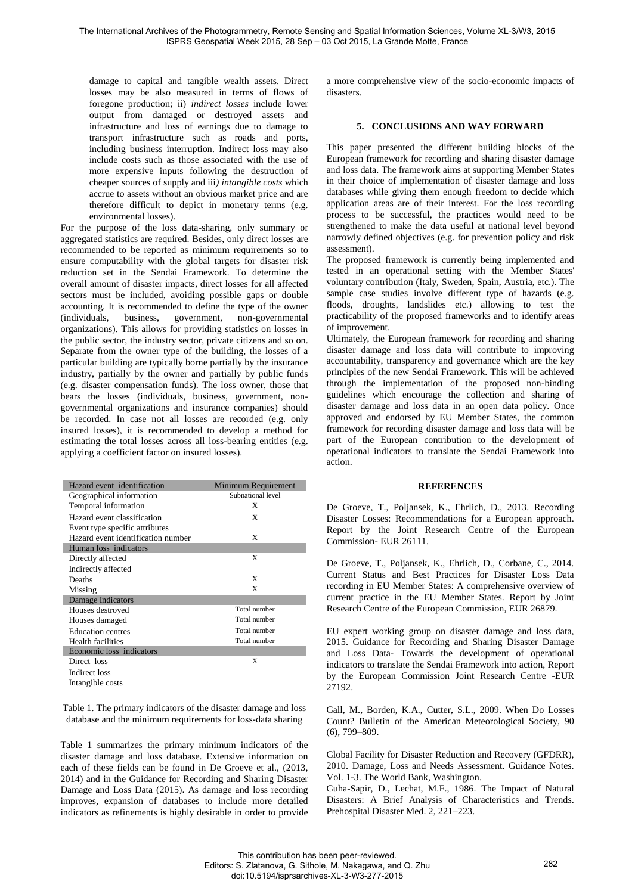damage to capital and tangible wealth assets. Direct losses may be also measured in terms of flows of foregone production; ii) *indirect losses* include lower output from damaged or destroyed assets and infrastructure and loss of earnings due to damage to transport infrastructure such as roads and ports, including business interruption. Indirect loss may also include costs such as those associated with the use of more expensive inputs following the destruction of cheaper sources of supply and iii*) intangible costs* which accrue to assets without an obvious market price and are therefore difficult to depict in monetary terms (e.g. environmental losses).

For the purpose of the loss data-sharing, only summary or aggregated statistics are required. Besides, only direct losses are recommended to be reported as minimum requirements so to ensure computability with the global targets for disaster risk reduction set in the Sendai Framework. To determine the overall amount of disaster impacts, direct losses for all affected sectors must be included, avoiding possible gaps or double accounting. It is recommended to define the type of the owner (individuals, business, government, non-governmental organizations). This allows for providing statistics on losses in the public sector, the industry sector, private citizens and so on. Separate from the owner type of the building, the losses of a particular building are typically borne partially by the insurance industry, partially by the owner and partially by public funds (e.g. disaster compensation funds). The loss owner, those that bears the losses (individuals, business, government, nongovernmental organizations and insurance companies) should be recorded. In case not all losses are recorded (e.g. only insured losses), it is recommended to develop a method for estimating the total losses across all loss-bearing entities (e.g. applying a coefficient factor on insured losses).

| Hazard event identification        | Minimum Requirement |
|------------------------------------|---------------------|
| Geographical information           | Subnational level   |
| Temporal information               | X                   |
|                                    |                     |
| Hazard event classification        | X                   |
| Event type specific attributes     |                     |
| Hazard event identification number | X                   |
| Human loss indicators              |                     |
| Directly affected                  | X                   |
| Indirectly affected                |                     |
| Deaths                             | X                   |
| Missing                            | X                   |
| Damage Indicators                  |                     |
| Houses destroyed                   | Total number        |
| Houses damaged                     | Total number        |
| <b>Education centres</b>           | Total number        |
| Health facilities                  | Total number        |
| Economic loss indicators           |                     |
| Direct loss                        | X                   |
| Indirect loss                      |                     |
| Intangible costs                   |                     |

Table 1. The primary indicators of the disaster damage and loss database and the minimum requirements for loss-data sharing

Table 1 summarizes the primary minimum indicators of the disaster damage and loss database. Extensive information on each of these fields can be found in De Groeve et al., (2013, 2014) and in the Guidance for Recording and Sharing Disaster Damage and Loss Data (2015). As damage and loss recording improves, expansion of databases to include more detailed indicators as refinements is highly desirable in order to provide a more comprehensive view of the socio-economic impacts of disasters.

# **5. CONCLUSIONS AND WAY FORWARD**

This paper presented the different building blocks of the European framework for recording and sharing disaster damage and loss data. The framework aims at supporting Member States in their choice of implementation of disaster damage and loss databases while giving them enough freedom to decide which application areas are of their interest. For the loss recording process to be successful, the practices would need to be strengthened to make the data useful at national level beyond narrowly defined objectives (e.g. for prevention policy and risk assessment).

The proposed framework is currently being implemented and tested in an operational setting with the Member States' voluntary contribution (Italy, Sweden, Spain, Austria, etc.). The sample case studies involve different type of hazards (e.g. floods, droughts, landslides etc.) allowing to test the practicability of the proposed frameworks and to identify areas of improvement.

Ultimately, the European framework for recording and sharing disaster damage and loss data will contribute to improving accountability, transparency and governance which are the key principles of the new Sendai Framework. This will be achieved through the implementation of the proposed non-binding guidelines which encourage the collection and sharing of disaster damage and loss data in an open data policy. Once approved and endorsed by EU Member States, the common framework for recording disaster damage and loss data will be part of the European contribution to the development of operational indicators to translate the Sendai Framework into action.

## **REFERENCES**

De Groeve, T., Poljansek, K., Ehrlich, D., 2013. Recording Disaster Losses: Recommendations for a European approach. Report by the Joint Research Centre of the European Commission- EUR 26111.

De Groeve, T., Poljansek, K., Ehrlich, D., Corbane, C., 2014. Current Status and Best Practices for Disaster Loss Data recording in EU Member States: A comprehensive overview of current practice in the EU Member States. Report by Joint Research Centre of the European Commission, EUR 26879.

EU expert working group on disaster damage and loss data, 2015. Guidance for Recording and Sharing Disaster Damage and Loss Data- Towards the development of operational indicators to translate the Sendai Framework into action, Report by the European Commission Joint Research Centre -EUR 27192.

Gall, M., Borden, K.A., Cutter, S.L., 2009. When Do Losses Count? Bulletin of the American Meteorological Society, 90 (6), 799–809.

Global Facility for Disaster Reduction and Recovery (GFDRR), 2010. Damage, Loss and Needs Assessment. Guidance Notes. Vol. 1-3. The World Bank, Washington.

Guha-Sapir, D., Lechat, M.F., 1986. The Impact of Natural Disasters: A Brief Analysis of Characteristics and Trends. Prehospital Disaster Med. 2, 221–223.